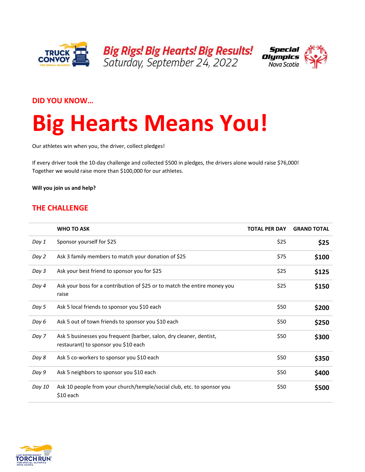



### **DID YOU KNOW…**

# **Big Hearts Means You!**

Our athletes win when you, the driver, collect pledges!

If every driver took the 10-day challenge and collected \$500 in pledges, the drivers alone would raise \$76,000! Together we would raise more than \$100,000 for our athletes.

**Will you join us and help?** 

## **THE CHALLENGE**

|        | <b>WHO TO ASK</b>                                                                                           | <b>TOTAL PER DAY</b> | <b>GRAND TOTAL</b> |
|--------|-------------------------------------------------------------------------------------------------------------|----------------------|--------------------|
| Day 1  | Sponsor yourself for \$25                                                                                   | \$25                 | \$25               |
| Day 2  | Ask 3 family members to match your donation of \$25                                                         | \$75                 | \$100              |
| Day 3  | Ask your best friend to sponsor you for \$25                                                                | \$25                 | \$125              |
| Day 4  | Ask your boss for a contribution of \$25 or to match the entire money you<br>raise                          | \$25                 | \$150              |
| Day 5  | Ask 5 local friends to sponsor you \$10 each                                                                | \$50                 | \$200              |
| Day 6  | Ask 5 out of town friends to sponsor you \$10 each                                                          | \$50                 | \$250              |
| Day 7  | Ask 5 businesses you frequent (barber, salon, dry cleaner, dentist,<br>restaurant) to sponsor you \$10 each | \$50                 | \$300              |
| Day 8  | Ask 5 co-workers to sponsor you \$10 each                                                                   | \$50                 | \$350              |
| Day 9  | Ask 5 neighbors to sponsor you \$10 each                                                                    | \$50                 | \$400              |
| Day 10 | Ask 10 people from your church/temple/social club, etc. to sponsor you<br>$$10$ each                        | \$50                 | \$500              |

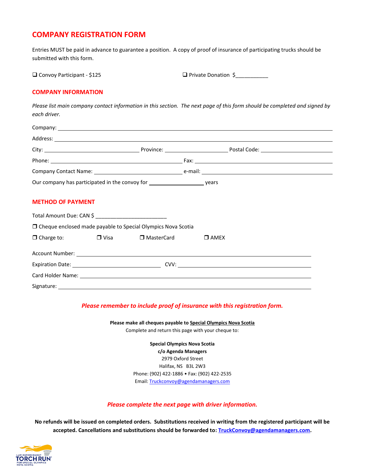## **COMPANY REGISTRATION FORM**

Entries MUST be paid in advance to guarantee a position. A copy of proof of insurance of participating trucks should be submitted with this form.

|  |  | Convoy Participant - \$125 |  |
|--|--|----------------------------|--|
|--|--|----------------------------|--|

Convoy Participant - \$125 Private Donation \$\_\_\_\_\_\_\_\_\_\_\_

#### **COMPANY INFORMATION**

*Please list main company contact information in this section. The next page of this form should be completed and signed by each driver.*

|                                                                                  | Address: example, and a series of the series of the series of the series of the series of the series of the series of the series of the series of the series of the series of the series of the series of the series of the se |  |  |
|----------------------------------------------------------------------------------|--------------------------------------------------------------------------------------------------------------------------------------------------------------------------------------------------------------------------------|--|--|
|                                                                                  |                                                                                                                                                                                                                                |  |  |
|                                                                                  |                                                                                                                                                                                                                                |  |  |
|                                                                                  |                                                                                                                                                                                                                                |  |  |
|                                                                                  | Our company has participated in the convoy for __________________________________ years                                                                                                                                        |  |  |
| <b>METHOD OF PAYMENT</b><br>Total Amount Due: CAN \$ ___________________________ |                                                                                                                                                                                                                                |  |  |
|                                                                                  | □ Cheque enclosed made payable to Special Olympics Nova Scotia                                                                                                                                                                 |  |  |
|                                                                                  | $\Box$ Charge to: $\Box$ Visa $\Box$ MasterCard $\Box$ AMEX                                                                                                                                                                    |  |  |
|                                                                                  |                                                                                                                                                                                                                                |  |  |
|                                                                                  |                                                                                                                                                                                                                                |  |  |

Card Holder Name:

Signature:

*Please remember to include proof of insurance with this registration form.*

**Please make all cheques payable to Special Olympics Nova Scotia** Complete and return this page with your cheque to:

> **Special Olympics Nova Scotia c/o Agenda Managers** 2979 Oxford Street Halifax, NS B3L 2W3 Phone: (902) 422-1886 • Fax: (902) 422-2535 Email[: Truckconvoy@agendamanagers.com](mailto:Truckconvoy@agendamanagers.com)

#### *Please complete the next page with driver information.*

**No refunds will be issued on completed orders. Substitutions received in writing from the registered participant will be accepted. Cancellations and substitutions should be forwarded to[: TruckConvoy@agendamanagers.com.](mailto:TruckConvoy@agendamanagers.com)**

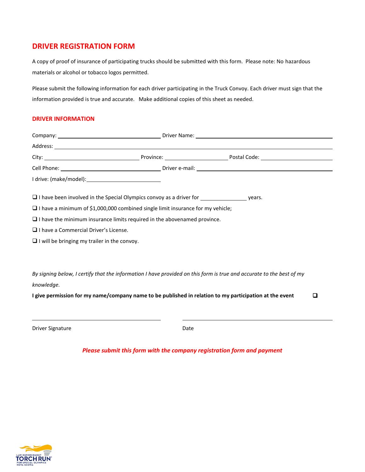## **DRIVER REGISTRATION FORM**

A copy of proof of insurance of participating trucks should be submitted with this form. Please note: No hazardous materials or alcohol or tobacco logos permitted.

Please submit the following information for each driver participating in the Truck Convoy. Each driver must sign that the information provided is true and accurate. Make additional copies of this sheet as needed.

#### **DRIVER INFORMATION**

|                                                                                          | Address: <u>New York: Address: Address: Address: Address: Address: Address: Address: Address: Address: Address: Address: Address: Address: Address: Address: Address: Address: Address: Address: Address: Address: Address: Addr</u> |
|------------------------------------------------------------------------------------------|--------------------------------------------------------------------------------------------------------------------------------------------------------------------------------------------------------------------------------------|
|                                                                                          |                                                                                                                                                                                                                                      |
|                                                                                          |                                                                                                                                                                                                                                      |
|                                                                                          |                                                                                                                                                                                                                                      |
| $\Box$ I have been involved in the Special Olympics convoy as a driver for $\Box$ years. |                                                                                                                                                                                                                                      |
| $\Box$ I have a minimum of \$1,000,000 combined single limit insurance for my vehicle;   |                                                                                                                                                                                                                                      |
| $\Box$ I have the minimum insurance limits required in the abovenamed province.          |                                                                                                                                                                                                                                      |
| $\Box$ I have a Commercial Driver's License.                                             |                                                                                                                                                                                                                                      |
| $\Box$ I will be bringing my trailer in the convoy.                                      |                                                                                                                                                                                                                                      |
| knowledge.                                                                               | By signing below, I certify that the information I have provided on this form is true and accurate to the best of my                                                                                                                 |
|                                                                                          | I give permission for my name/company name to be published in relation to my participation at the event<br>◘                                                                                                                         |
| <b>Driver Signature</b>                                                                  | Date                                                                                                                                                                                                                                 |

*Please submit this form with the company registration form and payment*